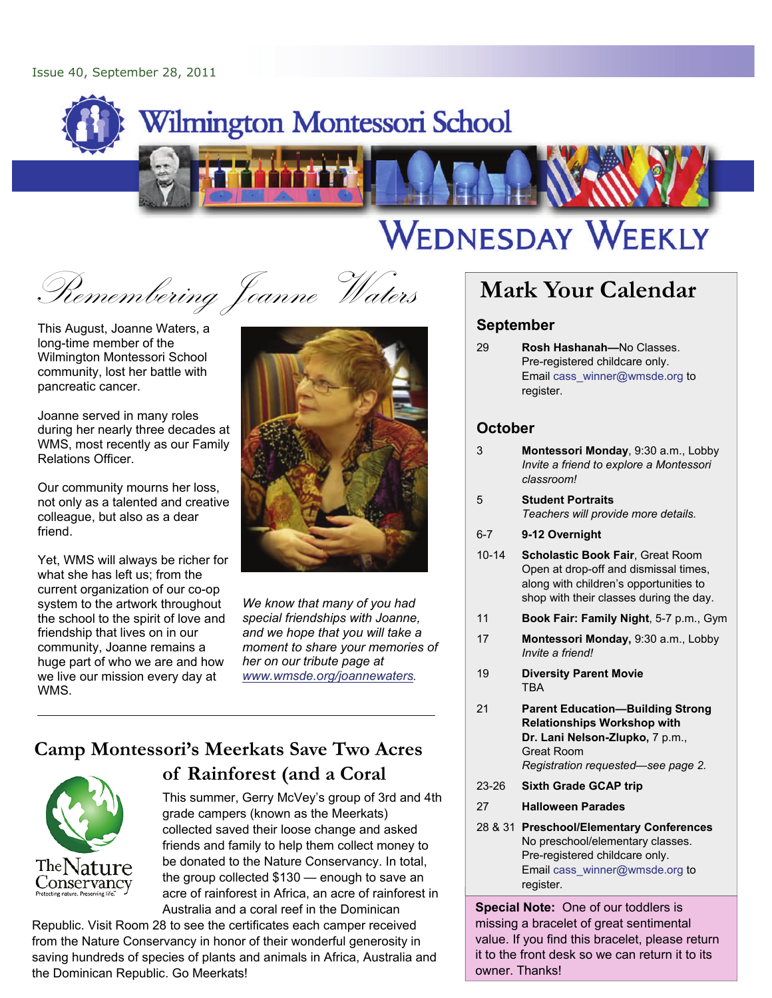

# WEDNESDAY WEEKLY

Remembering Joanne Waters **Mark Your Calendar** 

This August, Joanne Waters, a long-time member of the Wilmington Montessori School community, lost her battle with pancreatic cancer.

Joanne served in many roles during her nearly three decades at WMS, most recently as our Family Relations Officer.

Our community mourns her loss, not only as a talented and creative colleague, but also as a dear friend.

Yet, WMS will always be richer for what she has left us; from the current organization of our co-op system to the artwork throughout the school to the spirit of love and friendship that lives on in our community, Joanne remains a huge part of who we are and how we live our mission every day at WMS.



*We know that many of you had special friendships with Joanne, and we hope that you will take a moment to share your memories of her on our tribute page at [www.wmsde.org/joannewaters](http://www.wmsde.org/joannewaters).*

# **Camp Montessori's Meerkats Save Two Acres**



## **of Rainforest (and a Coral**

This summer, Gerry McVey's group of 3rd and 4th grade campers (known as the Meerkats) collected saved their loose change and asked friends and family to help them collect money to be donated to the Nature Conservancy. In total, the group collected \$130 — enough to save an acre of rainforest in Africa, an acre of rainforest in Australia and a coral reef in the Dominican

Republic. Visit Room 28 to see the certificates each camper received from the Nature Conservancy in honor of their wonderful generosity in saving hundreds of species of plants and animals in Africa, Australia and the Dominican Republic. Go Meerkats!

#### **September**

29 **Rosh Hashanah—**No Classes. Pre-registered childcare only. Email cass\_winner@wmsde.org to register.

#### **October**

- 3 **Montessori Monday**, 9:30 a.m., Lobby *Invite a friend to explore a Montessori classroom!*
- 5 **Student Portraits**  *Teachers will provide more details.*
- 6-7 **9-12 Overnight**
- 10-14 **Scholastic Book Fair**, Great Room Open at drop-off and dismissal times, along with children's opportunities to shop with their classes during the day.
- 11 **Book Fair: Family Night**, 5-7 p.m., Gym
- 17 **Montessori Monday,** 9:30 a.m., Lobby *Invite a friend!*
- 19 **Diversity Parent Movie**  TBA
- 21 **Parent Education—Building Strong Relationships Workshop with Dr. Lani Nelson-Zlupko,** 7 p.m., Great Room *Registration requested—see page 2.*
- 23-26 **Sixth Grade GCAP trip**
- 27 **Halloween Parades**
- 28 & 31 **Preschool/Elementary Conferences**  No preschool/elementary classes. Pre-registered childcare only. Email cass\_winner@wmsde.org to register.

**Special Note:** One of our toddlers is missing a bracelet of great sentimental value. If you find this bracelet, please return it to the front desk so we can return it to its owner. Thanks!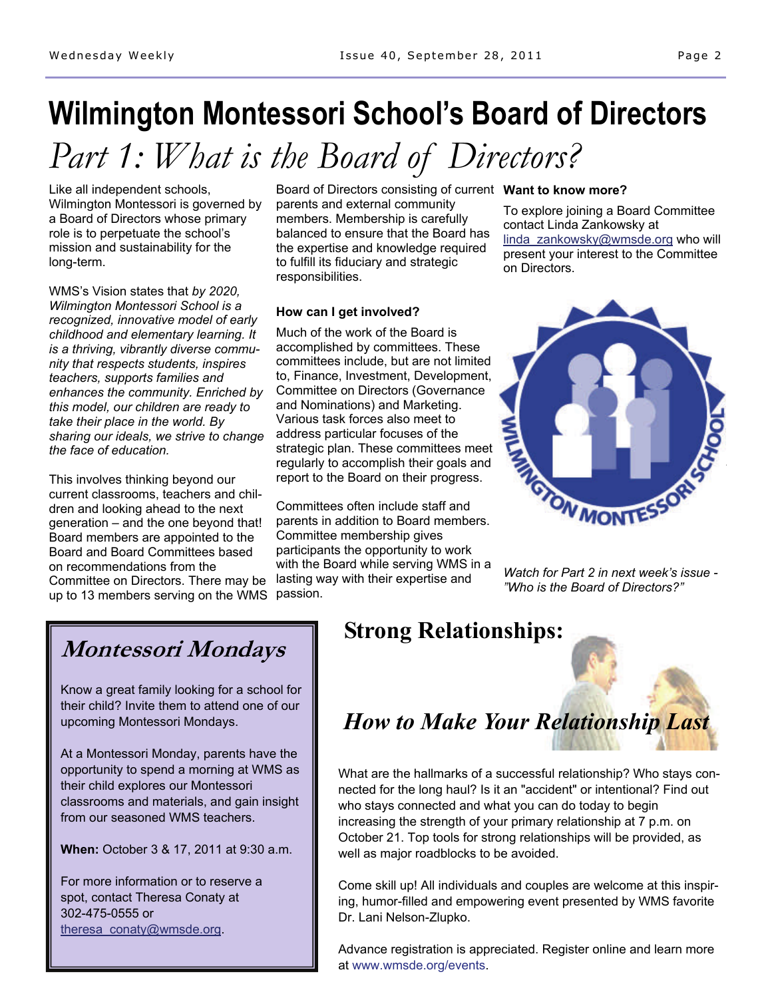# **Wilmington Montessori School's Board of Directors**

# *Part 1: What is the Board of Directors?*

Like all independent schools, Wilmington Montessori is governed by a Board of Directors whose primary role is to perpetuate the school's mission and sustainability for the long-term.

WMS's Vision states that *by 2020, Wilmington Montessori School is a recognized, innovative model of early childhood and elementary learning. It is a thriving, vibrantly diverse community that respects students, inspires teachers, supports families and enhances the community. Enriched by this model, our children are ready to take their place in the world. By sharing our ideals, we strive to change the face of education.* 

This involves thinking beyond our current classrooms, teachers and children and looking ahead to the next generation – and the one beyond that! Board members are appointed to the Board and Board Committees based on recommendations from the Committee on Directors. There may be up to 13 members serving on the WMS

Board of Directors consisting of current **Want to know more?**  parents and external community members. Membership is carefully balanced to ensure that the Board has the expertise and knowledge required to fulfill its fiduciary and strategic responsibilities.

#### **How can I get involved?**

Much of the work of the Board is accomplished by committees. These committees include, but are not limited to, Finance, Investment, Development, Committee on Directors (Governance and Nominations) and Marketing. Various task forces also meet to address particular focuses of the strategic plan. These committees meet regularly to accomplish their goals and report to the Board on their progress.

Committees often include staff and parents in addition to Board members. Committee membership gives participants the opportunity to work with the Board while serving WMS in a lasting way with their expertise and passion.

To explore joining a Board Committee contact Linda Zankowsky at [linda\\_zankowsky@wmsde.org](mailto:linda_zankowsky@wmsde.org?subject=Board%20Information) who will present your interest to the Committee on Directors.



*Watch for Part 2 in next week's issue - "Who is the Board of Directors?"* 

## **Montessori Mondays**

Know a great family looking for a school for their child? Invite them to attend one of our upcoming Montessori Mondays.

At a Montessori Monday, parents have the opportunity to spend a morning at WMS as their child explores our Montessori classrooms and materials, and gain insight from our seasoned WMS teachers.

**When:** October 3 & 17, 2011 at 9:30 a.m.

For more information or to reserve a spot, contact Theresa Conaty at 302-475-0555 or [theresa\\_conaty@wmsde.org.](mailto:theresa_conaty@wmsde.org)

## **Strong Relationships:**

# *How to Make Your Relationship Last*

What are the hallmarks of a successful relationship? Who stays connected for the long haul? Is it an "accident" or intentional? Find out who stays connected and what you can do today to begin increasing the strength of your primary relationship at 7 p.m. on October 21. Top tools for strong relationships will be provided, as well as major roadblocks to be avoided.

Come skill up! All individuals and couples are welcome at this inspiring, humor-filled and empowering event presented by WMS favorite Dr. Lani Nelson-Zlupko.

Advance registration is appreciated. Register online and learn more at www.wmsde.org/events.